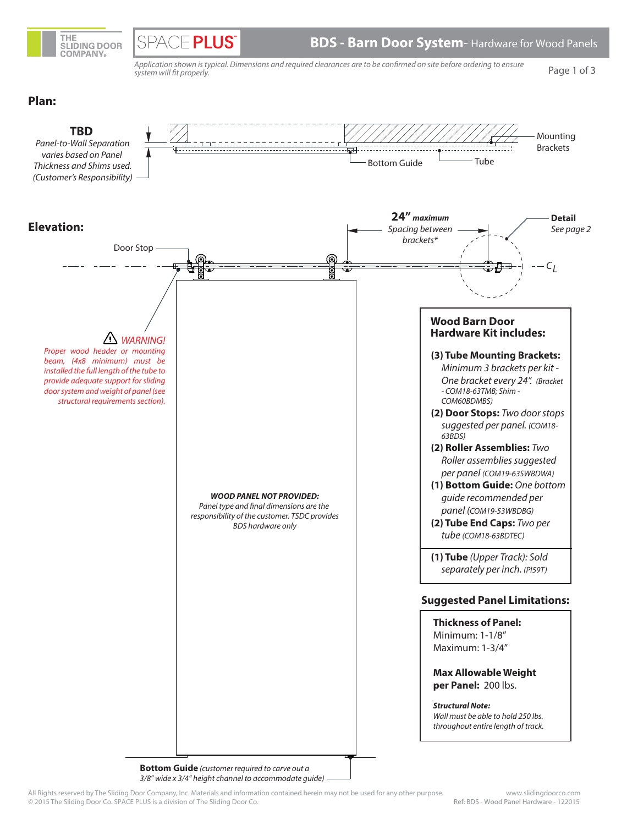

**SPACE PLUS** 

 **BDS - Barn Door System**- Hardware for Wood Panels

Application shown is typical. Dimensions and required clearances are to be confirmed on site before ordering to ensure system will fit properly.

Page 1 of 3

### **Plan:**



**Bottom Guide** (customer required to carve out a 3/8" wide x 3/4" height channel to accommodate guide)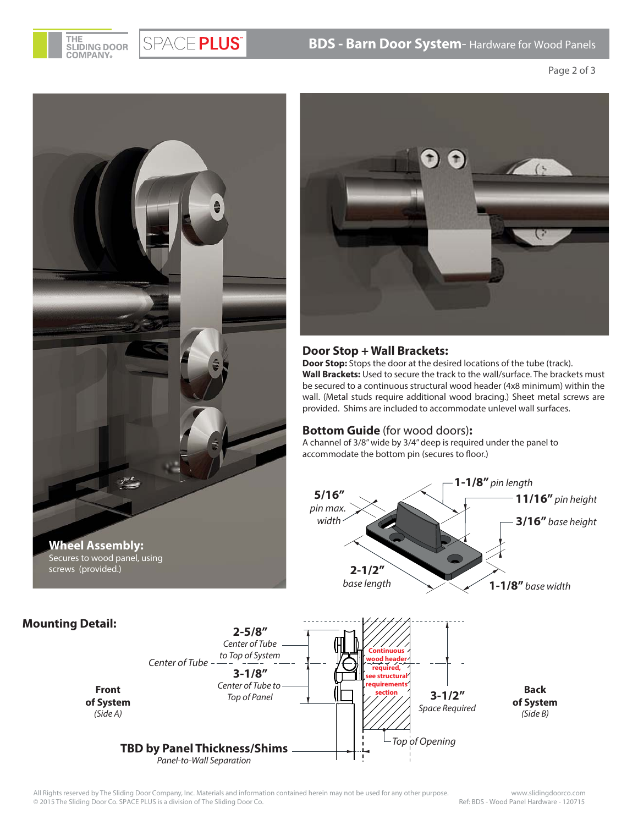**BDS - Barn Door System**- Hardware for Wood Panels



**Mounting Detail:**

**Front of System** (Side A)

Page 2 of 3



SPACE PLUS®



### **Door Stop + Wall Brackets:**

**Door Stop:** Stops the door at the desired locations of the tube (track). **Wall Brackets:** Used to secure the track to the wall/surface. The brackets must be secured to a continuous structural wood header (4x8 minimum) within the wall. (Metal studs require additional wood bracing.) Sheet metal screws are provided. Shims are included to accommodate unlevel wall surfaces.

### **Bottom Guide** (for wood doors)**:**

A channel of 3/8" wide by 3/4" deep is required under the panel to accommodate the bottom pin (secures to floor.)



All Rights reserved by The Sliding Door Company, Inc. Materials and information contained herein may not be used for any other purpose. www.slidingdoorco.com © 2015 The Sliding Door Co. SPACE PLUS is a division of The Sliding Door Co.